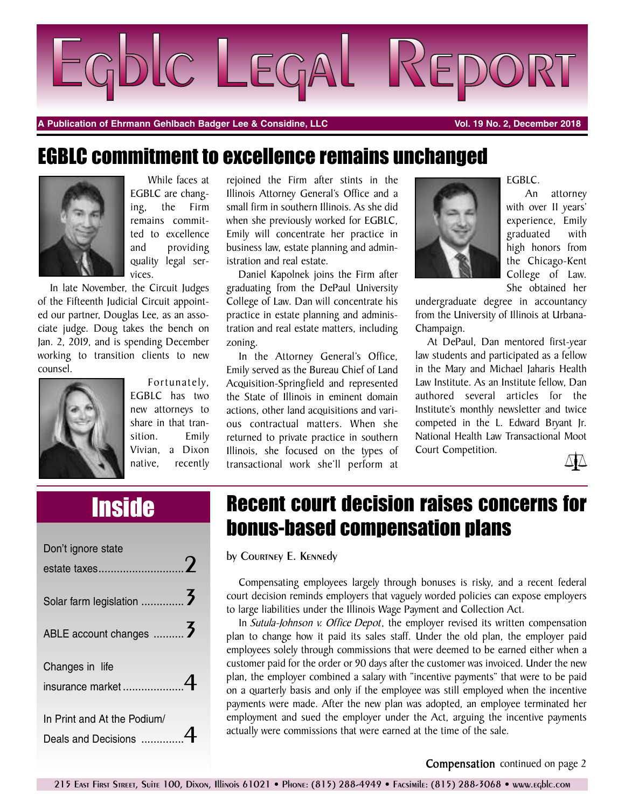

**A Publication of Ehrmann Gehlbach Badger Lee & Considine, LLC Vol. 19 No. 2, December 2018**

#### EGBLC commitment to excellence remains unchanged



While faces at EGBLC are changing, the Firm remains committed to excellence and providing quality legal services.

In late November, the Circuit Judges of the Fifteenth Judicial Circuit appointed our partner, Douglas Lee, as an associate judge. Doug takes the bench on Jan. 2, 2019, and is spending December working to transition clients to new counsel.



Fortunately, EGBLC has two new attorneys to share in that transition. Emily Vivian, a Dixon native, recently

rejoined the Firm after stints in the Illinois Attorney General's Office and a small firm in southern Illinois. As she did when she previously worked for EGBLC, Emily will concentrate her practice in business law, estate planning and administration and real estate.

Daniel Kapolnek joins the Firm after graduating from the DePaul University College of Law. Dan will concentrate his practice in estate planning and administration and real estate matters, including zoning.

In the Attorney General's Office, Emily served as the Bureau Chief of Land Acquisition-Springfield and represented the State of Illinois in eminent domain actions, other land acquisitions and various contractual matters. When she returned to private practice in southern Illinois, she focused on the types of transactional work she'll perform at



EGBLC.

An attorney with over 11 years' experience, Emily graduated with high honors from the Chicago-Kent College of Law. She obtained her

undergraduate degree in accountancy from the University of Illinois at Urbana-Champaign.

At DePaul, Dan mentored first-year law students and participated as a fellow in the Mary and Michael Jaharis Health Law Institute. As an Institute fellow, Dan authored several articles for the Institute's monthly newsletter and twice competed in the L. Edward Bryant Jr. National Health Law Transactional Moot Court Competition.



| Don't ignore state                                 |  |
|----------------------------------------------------|--|
|                                                    |  |
| ABLE account changes                               |  |
| Changes in life                                    |  |
| In Print and At the Podium/<br>Deals and Decisions |  |

# Inside Recent court decision raises concerns for bonus-based compensation plans

by Courtney E. Kennedy

Compensating employees largely through bonuses is risky, and a recent federal court decision reminds employers that vaguely worded policies can expose employers to large liabilities under the Illinois Wage Payment and Collection Act.

In *Sutula-Johnson v. Office Depot*, the employer revised its written compensation plan to change how it paid its sales staff. Under the old plan, the employer paid employees solely through commissions that were deemed to be earned either when a customer paid for the order or 90 days after the customer was invoiced. Under the new plan, the employer combined a salary with "incentive payments" that were to be paid on a quarterly basis and only if the employee was still employed when the incentive payments were made. After the new plan was adopted, an employee terminated her employment and sued the employer under the Act, arguing the incentive payments actually were commissions that were earned at the time of the sale.

**Compensation** continued on page 2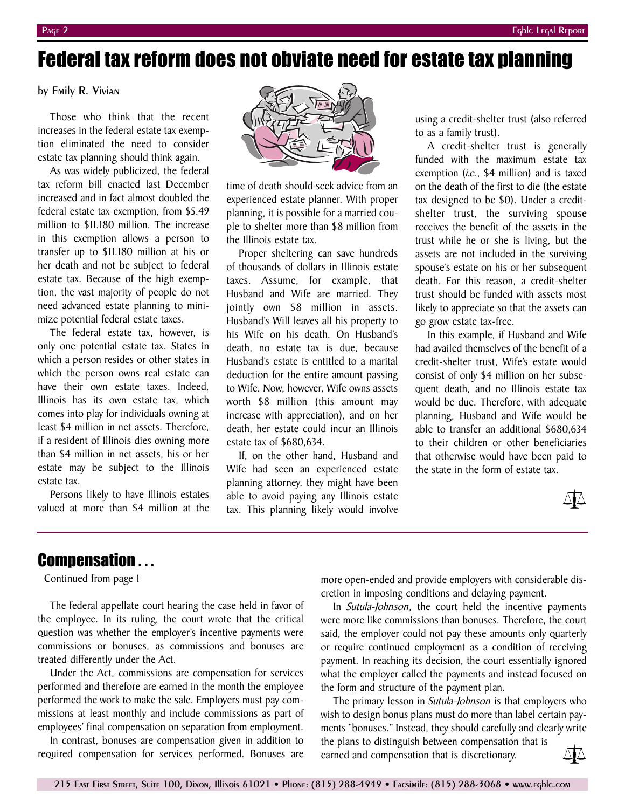# Federal tax reform does not obviate need for estate tax planning

by Emily R. Vivian

Those who think that the recent increases in the federal estate tax exemption eliminated the need to consider estate tax planning should think again.

As was widely publicized, the federal tax reform bill enacted last December increased and in fact almost doubled the federal estate tax exemption, from \$5.49 million to \$11.180 million. The increase in this exemption allows a person to transfer up to \$11.180 million at his or her death and not be subject to federal estate tax. Because of the high exemption, the vast majority of people do not need advanced estate planning to minimize potential federal estate taxes.

The federal estate tax, however, is only one potential estate tax. States in which a person resides or other states in which the person owns real estate can have their own estate taxes. Indeed, Illinois has its own estate tax, which comes into play for individuals owning at least \$4 million in net assets. Therefore, if a resident of Illinois dies owning more than \$4 million in net assets, his or her estate may be subject to the Illinois estate tax.

Persons likely to have Illinois estates valued at more than \$4 million at the



time of death should seek advice from an experienced estate planner. With proper planning, it is possible for a married couple to shelter more than \$8 million from the Illinois estate tax.

Proper sheltering can save hundreds of thousands of dollars in Illinois estate taxes. Assume, for example, that Husband and Wife are married. They jointly own \$8 million in assets. Husband's Will leaves all his property to his Wife on his death. On Husband's death, no estate tax is due, because Husband's estate is entitled to a marital deduction for the entire amount passing to Wife. Now, however, Wife owns assets worth \$8 million (this amount may increase with appreciation), and on her death, her estate could incur an Illinois estate tax of \$680,634.

If, on the other hand, Husband and Wife had seen an experienced estate planning attorney, they might have been able to avoid paying any Illinois estate tax. This planning likely would involve

using a credit-shelter trust (also referred to as a family trust).

A credit-shelter trust is generally funded with the maximum estate tax exemption (*i.e.*, \$4 million) and is taxed on the death of the first to die (the estate tax designed to be \$0). Under a creditshelter trust, the surviving spouse receives the benefit of the assets in the trust while he or she is living, but the assets are not included in the surviving spouse's estate on his or her subsequent death. For this reason, a credit-shelter trust should be funded with assets most likely to appreciate so that the assets can go grow estate tax-free.

In this example, if Husband and Wife had availed themselves of the benefit of a credit-shelter trust, Wife's estate would consist of only \$4 million on her subsequent death, and no Illinois estate tax would be due. Therefore, with adequate planning, Husband and Wife would be able to transfer an additional \$680,634 to their children or other beneficiaries that otherwise would have been paid to the state in the form of estate tax.



#### Compensation . . .

Continued from page 1

The federal appellate court hearing the case held in favor of the employee. In its ruling, the court wrote that the critical question was whether the employer's incentive payments were commissions or bonuses, as commissions and bonuses are treated differently under the Act.

Under the Act, commissions are compensation for services performed and therefore are earned in the month the employee performed the work to make the sale. Employers must pay commissions at least monthly and include commissions as part of employees' final compensation on separation from employment.

In contrast, bonuses are compensation given in addition to required compensation for services performed. Bonuses are more open-ended and provide employers with considerable discretion in imposing conditions and delaying payment.

In *Sutula-Johnson*, the court held the incentive payments were more like commissions than bonuses. Therefore, the court said, the employer could not pay these amounts only quarterly or require continued employment as a condition of receiving payment. In reaching its decision, the court essentially ignored what the employer called the payments and instead focused on the form and structure of the payment plan.

The primary lesson in *Sutula-Johnson* is that employers who wish to design bonus plans must do more than label certain payments "bonuses." Instead, they should carefully and clearly write

the plans to distinguish between compensation that is earned and compensation that is discretionary.

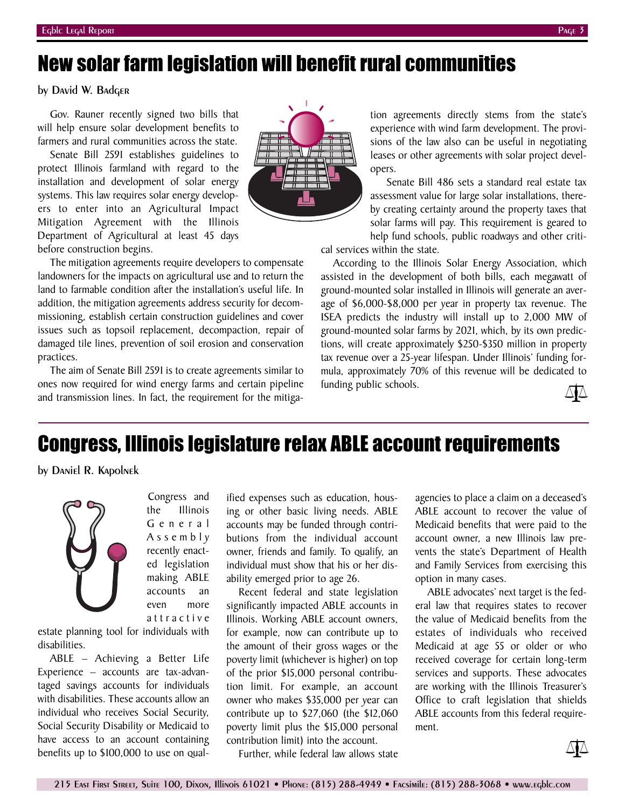# New solar farm legislation will benefit rural communities

by David W. Badger

Gov. Rauner recently signed two bills that will help ensure solar development benefits to farmers and rural communities across the state.

Senate Bill 2591 establishes guidelines to protect Illinois farmland with regard to the installation and development of solar energy systems. This law requires solar energy developers to enter into an Agricultural Impact Mitigation Agreement with the Illinois Department of Agricultural at least 45 days before construction begins.



The aim of Senate Bill 2591 is to create agreements similar to ones now required for wind energy farms and certain pipeline and transmission lines. In fact, the requirement for the mitiga-

> Congress and the Illinois G e n e r a l A s s e m b l y recently enacted legislation making ABLE accounts an even more a t t r a c t i v e



tion agreements directly stems from the state's experience with wind farm development. The provisions of the law also can be useful in negotiating leases or other agreements with solar project developers.

Senate Bill 486 sets a standard real estate tax assessment value for large solar installations, thereby creating certainty around the property taxes that solar farms will pay. This requirement is geared to help fund schools, public roadways and other criti-

cal services within the state.

According to the Illinois Solar Energy Association, which assisted in the development of both bills, each megawatt of ground-mounted solar installed in Illinois will generate an average of \$6,000-\$8,000 per year in property tax revenue. The ISEA predicts the industry will install up to 2,000 MW of ground-mounted solar farms by 2021, which, by its own predictions, will create approximately \$250-\$350 million in property tax revenue over a 25-year lifespan. Under Illinois' funding formula, approximately 70% of this revenue will be dedicated to funding public schools.



### Congress, Illinois legislature relax ABLE account requirements

by Daniel R. Kapolnek



estate planning tool for individuals with disabilities.

ABLE – Achieving a Better Life Experience – accounts are tax-advantaged savings accounts for individuals with disabilities. These accounts allow an individual who receives Social Security, Social Security Disability or Medicaid to have access to an account containing benefits up to \$100,000 to use on qual-

ified expenses such as education, housing or other basic living needs. ABLE accounts may be funded through contributions from the individual account owner, friends and family. To qualify, an individual must show that his or her disability emerged prior to age 26.

Recent federal and state legislation significantly impacted ABLE accounts in Illinois. Working ABLE account owners, for example, now can contribute up to the amount of their gross wages or the poverty limit (whichever is higher) on top of the prior \$15,000 personal contribution limit. For example, an account owner who makes \$35,000 per year can contribute up to \$27,060 (the \$12,060 poverty limit plus the \$15,000 personal contribution limit) into the account.

agencies to place a claim on a deceased's ABLE account to recover the value of Medicaid benefits that were paid to the account owner, a new Illinois law prevents the state's Department of Health and Family Services from exercising this option in many cases.

ABLE advocates' next target is the federal law that requires states to recover the value of Medicaid benefits from the estates of individuals who received Medicaid at age 55 or older or who received coverage for certain long-term services and supports. These advocates are working with the Illinois Treasurer's Office to craft legislation that shields ABLE accounts from this federal requirement.

Further, while federal law allows state